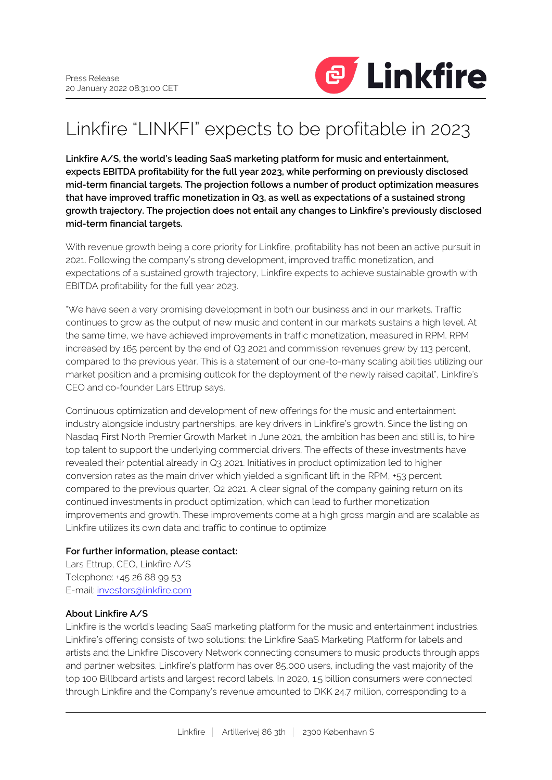

# Linkfire "LINKFI" expects to be profitable in 2023

**Linkfire A/S, the world's leading SaaS marketing platform for music and entertainment, expects EBITDA profitability for the full year 2023, while performing on previously disclosed mid-term financial targets. The projection follows a number of product optimization measures that have improved traffic monetization in Q3, as well as expectations of a sustained strong growth trajectory. The projection does not entail any changes to Linkfire's previously disclosed mid-term financial targets.**

With revenue growth being a core priority for Linkfire, profitability has not been an active pursuit in 2021. Following the company's strong development, improved traffic monetization, and expectations of a sustained growth trajectory, Linkfire expects to achieve sustainable growth with EBITDA profitability for the full year 2023.

"We have seen a very promising development in both our business and in our markets. Traffic continues to grow as the output of new music and content in our markets sustains a high level. At the same time, we have achieved improvements in traffic monetization, measured in RPM. RPM increased by 165 percent by the end of Q3 2021 and commission revenues grew by 113 percent, compared to the previous year. This is a statement of our one-to-many scaling abilities utilizing our market position and a promising outlook for the deployment of the newly raised capital", Linkfire's CEO and co-founder Lars Ettrup says.

Continuous optimization and development of new offerings for the music and entertainment industry alongside industry partnerships, are key drivers in Linkfire's growth. Since the listing on Nasdaq First North Premier Growth Market in June 2021, the ambition has been and still is, to hire top talent to support the underlying commercial drivers. The effects of these investments have revealed their potential already in Q3 2021. Initiatives in product optimization led to higher conversion rates as the main driver which yielded a significant lift in the RPM, +53 percent compared to the previous quarter, Q2 2021. A clear signal of the company gaining return on its continued investments in product optimization, which can lead to further monetization improvements and growth. These improvements come at a high gross margin and are scalable as Linkfire utilizes its own data and traffic to continue to optimize.

# **For further information, please contact:**

Lars Ettrup, CEO, Linkfire A/S Telephone: +45 26 88 99 53 E-mail: [investors@linkfire.com](mailto:investors@linkfire.com)

#### **About Linkfire A/S**

Linkfire is the world's leading SaaS marketing platform for the music and entertainment industries. Linkfire's offering consists of two solutions: the Linkfire SaaS Marketing Platform for labels and artists and the Linkfire Discovery Network connecting consumers to music products through apps and partner websites. Linkfire's platform has over 85,000 users, including the vast majority of the top 100 Billboard artists and largest record labels. In 2020, 1.5 billion consumers were connected through Linkfire and the Company's revenue amounted to DKK 24.7 million, corresponding to a